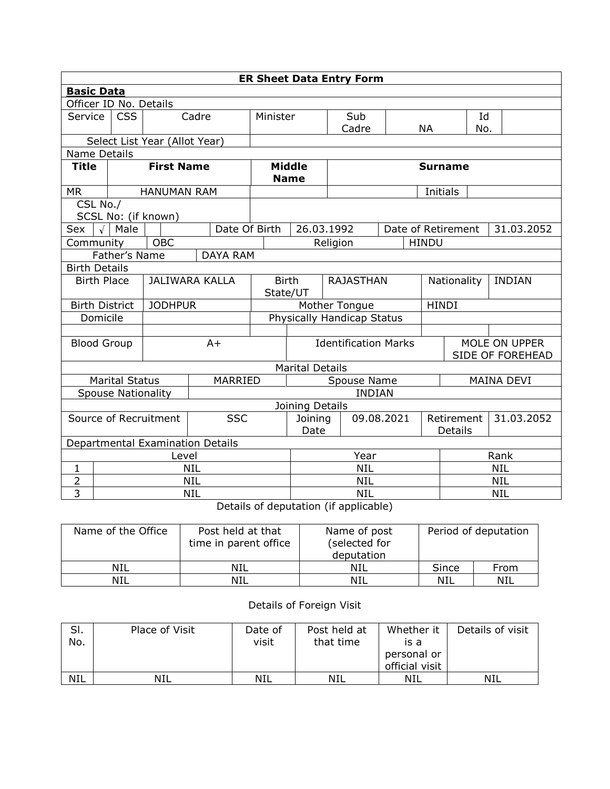| <b>ER Sheet Data Entry Form</b> |                                             |                               |                                                                                 |                              |                             |             |                |              |                                   |                   |  |  |
|---------------------------------|---------------------------------------------|-------------------------------|---------------------------------------------------------------------------------|------------------------------|-----------------------------|-------------|----------------|--------------|-----------------------------------|-------------------|--|--|
|                                 | <b>Basic Data</b>                           |                               |                                                                                 |                              |                             |             |                |              |                                   |                   |  |  |
| Officer ID No. Details          |                                             |                               |                                                                                 |                              |                             |             |                |              |                                   |                   |  |  |
| Service                         | <b>CSS</b>                                  |                               | Cadre                                                                           | Minister                     |                             | Sub         |                |              | Id                                |                   |  |  |
|                                 |                                             |                               |                                                                                 |                              |                             | Cadre       |                | <b>NA</b>    | No.                               |                   |  |  |
|                                 |                                             | Select List Year (Allot Year) |                                                                                 |                              |                             |             |                |              |                                   |                   |  |  |
| Name Details                    |                                             |                               |                                                                                 |                              |                             |             |                |              |                                   |                   |  |  |
| <b>Title</b>                    |                                             | <b>First Name</b>             |                                                                                 | <b>Middle</b><br><b>Name</b> |                             |             | <b>Surname</b> |              |                                   |                   |  |  |
| <b>MR</b>                       |                                             | <b>HANUMAN RAM</b>            |                                                                                 |                              |                             |             |                | Initials     |                                   |                   |  |  |
| CSL No./                        |                                             |                               |                                                                                 |                              |                             |             |                |              |                                   |                   |  |  |
|                                 |                                             | SCSL No: (if known)           |                                                                                 |                              |                             |             |                |              |                                   |                   |  |  |
| Sex                             | $\sqrt{\phantom{a}}$ Male                   |                               | Date Of Birth                                                                   |                              |                             | 26.03.1992  |                |              | Date of Retirement                | 31.03.2052        |  |  |
| Community                       |                                             | <b>OBC</b>                    |                                                                                 |                              |                             | Religion    |                | <b>HINDU</b> |                                   |                   |  |  |
|                                 | Father's Name<br><b>DAYA RAM</b>            |                               |                                                                                 |                              |                             |             |                |              |                                   |                   |  |  |
| <b>Birth Details</b>            |                                             |                               |                                                                                 |                              |                             |             |                |              |                                   |                   |  |  |
|                                 | <b>JALIWARA KALLA</b><br><b>Birth Place</b> |                               | <b>Birth</b><br>State/UT                                                        |                              | <b>RAJASTHAN</b>            |             |                | Nationality  | <b>INDIAN</b>                     |                   |  |  |
| <b>Birth District</b>           |                                             | <b>JODHPUR</b>                |                                                                                 | Mother Tongue                |                             |             | <b>HINDI</b>   |              |                                   |                   |  |  |
| Domicile                        |                                             |                               |                                                                                 | Physically Handicap Status   |                             |             |                |              |                                   |                   |  |  |
|                                 |                                             |                               |                                                                                 |                              |                             |             |                |              |                                   |                   |  |  |
| <b>Blood Group</b>              |                                             |                               | $A+$                                                                            |                              | <b>Identification Marks</b> |             |                |              | MOLE ON UPPER<br>SIDE OF FOREHEAD |                   |  |  |
|                                 |                                             |                               |                                                                                 |                              | <b>Marital Details</b>      |             |                |              |                                   |                   |  |  |
|                                 | <b>Marital Status</b>                       |                               | MARRIED                                                                         |                              |                             | Spouse Name |                |              |                                   | <b>MAINA DEVI</b> |  |  |
|                                 | <b>Spouse Nationality</b>                   |                               |                                                                                 | <b>INDIAN</b>                |                             |             |                |              |                                   |                   |  |  |
|                                 |                                             |                               |                                                                                 |                              | Joining Details             |             |                |              |                                   |                   |  |  |
|                                 | <b>SSC</b><br>Source of Recruitment         |                               |                                                                                 |                              | Joining                     | 09.08.2021  |                |              | Retirement                        | 31.03.2052        |  |  |
|                                 |                                             |                               |                                                                                 | Date                         |                             |             |                | Details      |                                   |                   |  |  |
|                                 |                                             |                               | Departmental Examination Details                                                |                              |                             |             |                |              |                                   |                   |  |  |
|                                 | Level                                       |                               |                                                                                 |                              |                             | Year        |                |              | Rank                              |                   |  |  |
| 1                               | <b>NIL</b>                                  |                               |                                                                                 |                              | <b>NIL</b>                  |             |                |              | <b>NIL</b>                        |                   |  |  |
| $\overline{2}$                  | <b>NIL</b>                                  |                               |                                                                                 |                              | <b>NIL</b>                  |             |                | <b>NIL</b>   |                                   |                   |  |  |
|                                 |                                             |                               | 3<br><b>NIL</b><br>NIL<br><b>NIL</b><br>$Detaile$ of deputation (if applicable) |                              |                             |             |                |              |                                   |                   |  |  |

Details of deputation (if applicable)

| Name of the Office | Post held at that<br>time in parent office | Name of post<br>(selected for<br>deputation | Period of deputation |      |  |
|--------------------|--------------------------------------------|---------------------------------------------|----------------------|------|--|
| NIL                | NIL                                        | NIL                                         | Since                | From |  |
| NIL                | NIL                                        | NIL                                         | NIL                  | NIL  |  |

## Details of Foreign Visit

| SI.<br>No. | Place of Visit | Date of<br>visit | Post held at<br>that time | Whether it<br>is a<br>personal or<br>official visit | Details of visit |
|------------|----------------|------------------|---------------------------|-----------------------------------------------------|------------------|
| <b>NIL</b> | NIL            | NIL              | NIL                       | NIL                                                 | NIL              |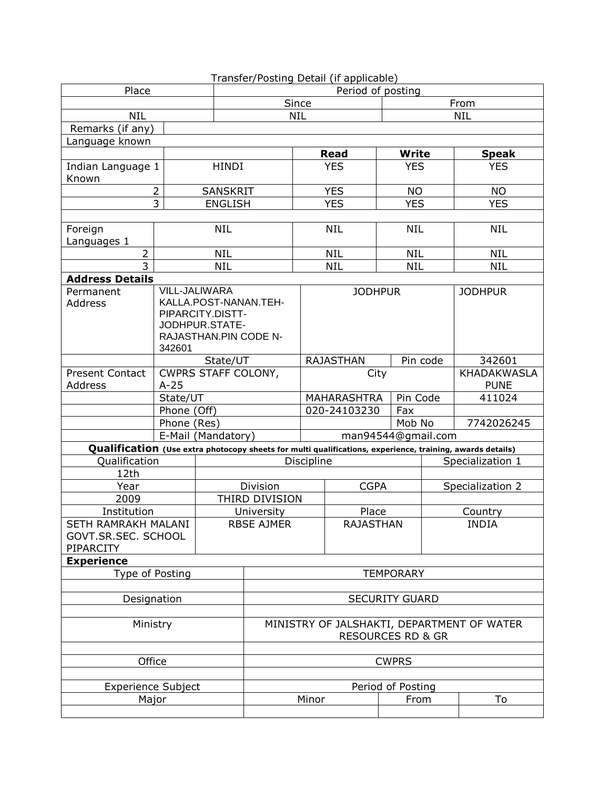|                                                                                                           |                   |                                    |                                            |                  | Transfer/Posting Detail (if applicable) |                  |                    |                    |  |
|-----------------------------------------------------------------------------------------------------------|-------------------|------------------------------------|--------------------------------------------|------------------|-----------------------------------------|------------------|--------------------|--------------------|--|
| Place                                                                                                     |                   | Period of posting                  |                                            |                  |                                         |                  |                    |                    |  |
|                                                                                                           |                   |                                    |                                            | Since            |                                         |                  | From               |                    |  |
| <b>NIL</b>                                                                                                |                   |                                    |                                            | <b>NIL</b>       |                                         |                  |                    | <b>NIL</b>         |  |
| Remarks (if any)                                                                                          |                   |                                    |                                            |                  |                                         |                  |                    |                    |  |
| Language known                                                                                            |                   |                                    |                                            |                  |                                         |                  |                    |                    |  |
|                                                                                                           |                   |                                    |                                            |                  | <b>Read</b>                             |                  | <b>Write</b>       | <b>Speak</b>       |  |
| Indian Language 1                                                                                         |                   | <b>HINDI</b>                       |                                            |                  | <b>YES</b>                              |                  | <b>YES</b>         | <b>YES</b>         |  |
| Known                                                                                                     |                   |                                    |                                            |                  |                                         |                  |                    |                    |  |
| $\overline{2}$                                                                                            | <b>SANSKRIT</b>   |                                    |                                            | <b>YES</b>       |                                         | <b>NO</b>        | <b>NO</b>          |                    |  |
|                                                                                                           | $\overline{3}$    | <b>ENGLISH</b>                     |                                            |                  | <b>YES</b>                              |                  | <b>YES</b>         | <b>YES</b>         |  |
|                                                                                                           |                   |                                    |                                            |                  |                                         |                  |                    |                    |  |
| Foreign                                                                                                   |                   | <b>NIL</b>                         |                                            |                  | <b>NIL</b>                              |                  | <b>NIL</b>         | <b>NIL</b>         |  |
| Languages 1                                                                                               |                   |                                    |                                            |                  |                                         |                  |                    |                    |  |
| $\overline{2}$                                                                                            |                   | <b>NIL</b>                         |                                            |                  | <b>NIL</b>                              |                  | <b>NIL</b>         | <b>NIL</b>         |  |
| $\overline{3}$                                                                                            |                   | <b>NIL</b>                         |                                            |                  | <b>NIL</b>                              |                  | <b>NIL</b>         | <b>NIL</b>         |  |
| <b>Address Details</b>                                                                                    |                   |                                    |                                            |                  |                                         |                  |                    |                    |  |
| Permanent                                                                                                 |                   | VILL-JALIWARA                      |                                            |                  | <b>JODHPUR</b>                          |                  |                    | <b>JODHPUR</b>     |  |
| Address                                                                                                   |                   | KALLA.POST-NANAN.TEH-              |                                            |                  |                                         |                  |                    |                    |  |
|                                                                                                           |                   | PIPARCITY.DISTT-<br>JODHPUR.STATE- |                                            |                  |                                         |                  |                    |                    |  |
|                                                                                                           |                   | RAJASTHAN.PIN CODE N-              |                                            |                  |                                         |                  |                    |                    |  |
|                                                                                                           | 342601            |                                    |                                            |                  |                                         |                  |                    |                    |  |
|                                                                                                           |                   | State/UT                           |                                            | <b>RAJASTHAN</b> |                                         |                  | Pin code           | 342601             |  |
| <b>Present Contact</b>                                                                                    |                   | CWPRS STAFF COLONY,                |                                            |                  | City                                    |                  |                    | <b>KHADAKWASLA</b> |  |
| Address                                                                                                   | $A-25$            |                                    |                                            |                  |                                         |                  |                    | <b>PUNE</b>        |  |
|                                                                                                           | State/UT          |                                    |                                            |                  | <b>MAHARASHTRA</b>                      | Pin Code         |                    | 411024             |  |
|                                                                                                           | Phone (Off)       |                                    |                                            |                  | 020-24103230                            |                  | Fax                |                    |  |
|                                                                                                           | Phone (Res)       |                                    |                                            |                  |                                         |                  | Mob No             | 7742026245         |  |
|                                                                                                           |                   | E-Mail (Mandatory)                 |                                            |                  |                                         |                  | man94544@gmail.com |                    |  |
| Qualification (Use extra photocopy sheets for multi qualifications, experience, training, awards details) |                   |                                    |                                            |                  |                                         |                  |                    |                    |  |
| <b>Qualification</b>                                                                                      |                   |                                    |                                            | Discipline       |                                         |                  |                    | Specialization 1   |  |
| 12th                                                                                                      |                   |                                    |                                            |                  |                                         |                  |                    |                    |  |
| Year                                                                                                      |                   |                                    | Division                                   |                  | <b>CGPA</b>                             |                  |                    | Specialization 2   |  |
| 2009                                                                                                      |                   |                                    | THIRD DIVISION                             |                  |                                         |                  |                    |                    |  |
| Institution                                                                                               |                   |                                    | University                                 |                  | Place                                   |                  |                    | Country            |  |
| SETH RAMRAKH MALANI                                                                                       |                   |                                    | <b>RBSE AJMER</b>                          | <b>RAJASTHAN</b> |                                         |                  |                    | <b>INDIA</b>       |  |
| GOVT.SR.SEC. SCHOOL                                                                                       |                   |                                    |                                            |                  |                                         |                  |                    |                    |  |
| PIPARCITY                                                                                                 |                   |                                    |                                            |                  |                                         |                  |                    |                    |  |
| <b>Experience</b>                                                                                         |                   |                                    |                                            |                  |                                         |                  |                    |                    |  |
| Type of Posting                                                                                           |                   |                                    |                                            |                  |                                         | <b>TEMPORARY</b> |                    |                    |  |
|                                                                                                           |                   |                                    |                                            |                  |                                         |                  |                    |                    |  |
| Designation                                                                                               |                   |                                    | <b>SECURITY GUARD</b>                      |                  |                                         |                  |                    |                    |  |
|                                                                                                           |                   |                                    |                                            |                  |                                         |                  |                    |                    |  |
| Ministry                                                                                                  |                   |                                    | MINISTRY OF JALSHAKTI, DEPARTMENT OF WATER |                  |                                         |                  |                    |                    |  |
|                                                                                                           |                   |                                    | <b>RESOURCES RD &amp; GR</b>               |                  |                                         |                  |                    |                    |  |
|                                                                                                           |                   |                                    |                                            |                  |                                         |                  |                    |                    |  |
| Office                                                                                                    |                   |                                    | <b>CWPRS</b>                               |                  |                                         |                  |                    |                    |  |
|                                                                                                           |                   |                                    |                                            |                  |                                         |                  |                    |                    |  |
| <b>Experience Subject</b>                                                                                 | Period of Posting |                                    |                                            |                  |                                         |                  |                    |                    |  |
| Major                                                                                                     |                   |                                    |                                            | Minor            |                                         | From             |                    | To                 |  |
|                                                                                                           |                   |                                    |                                            |                  |                                         |                  |                    |                    |  |